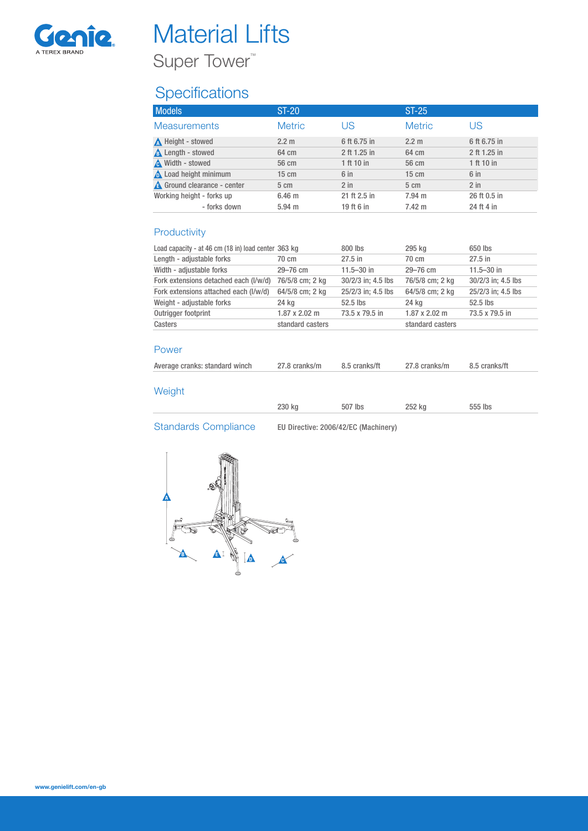

# **Material Lifts**

Super Tower<sup>™</sup>

## **Specifications**

| <b>Models</b>                      | <b>ST-20</b>      |                 | $ST-25$          |              |
|------------------------------------|-------------------|-----------------|------------------|--------------|
| <b>Measurements</b>                | <b>Metric</b>     | US              | <b>Metric</b>    | US           |
| Height - stowed                    | $2.2 \text{ m}$   | 6 ft 6.75 in    | $2.2 \text{ m}$  | 6 ft 6.75 in |
| <b>A</b> Length - stowed           | 64 cm             | 2 ft 1.25 in    | 64 cm            | 2 ft 1.25 in |
| <b>A</b> Width - stowed            | 56 cm             | 1 ft 10 in      | 56 cm            | 1 ft 10 in   |
| Load height minimum                | $15 \text{ cm}$   | 6 <sub>in</sub> | $15 \text{ cm}$  | 6 in         |
| <b>A</b> Ground clearance - center | $5 \text{ cm}$    | $2$ in          | $5 \text{ cm}$   | $2$ in       |
| Working height - forks up          | 6.46 <sub>m</sub> | 21 ft 2.5 in    | 7.94 m           | 26 ft 0.5 in |
| - forks down                       | $5.94 \text{ m}$  | 19 ft 6 in      | $7.42 \text{ m}$ | 24 ft 4 in   |

### Productivity

| Load capacity - at 46 cm (18 in) load center 363 kg |                      | $800$ lbs          | 295 kg               | 650 lbs            |
|-----------------------------------------------------|----------------------|--------------------|----------------------|--------------------|
| Length - adjustable forks                           | 70 cm                | $27.5$ in          | 70 cm                | $27.5$ in          |
| Width - adjustable forks                            | $29 - 76$ cm         | $11.5 - 30$ in     | $29 - 76$ cm         | $11.5 - 30$ in     |
| Fork extensions detached each (I/w/d)               | 76/5/8 cm; 2 kg      | 30/2/3 in: 4.5 lbs | 76/5/8 cm; 2 kg      | 30/2/3 in; 4.5 lbs |
| Fork extensions attached each (I/w/d)               | 64/5/8 cm; 2 kg      | 25/2/3 in; 4.5 lbs | 64/5/8 cm; 2 kg      | 25/2/3 in: 4.5 lbs |
| Weight - adjustable forks                           | 24 kg                | $52.5$ lbs         | 24 kg                | 52.5 lbs           |
| Outrigger footprint                                 | $1.87 \times 2.02$ m | 73.5 x 79.5 in     | $1.87 \times 2.02$ m | 73.5 x 79.5 in     |
| Casters                                             | standard casters     |                    | standard casters     |                    |

#### Power

| 27.8 cranks/m<br>27.8 cranks/m<br>Average cranks: standard winch<br>8.5 cranks/ft<br>8.5 cranks/ft |  |
|----------------------------------------------------------------------------------------------------|--|
|----------------------------------------------------------------------------------------------------|--|

### Weight

| 0.001<br>43U KQ<br>$-\circ\circ$ | ka<br>$- - -$<br>. | <b>IDS</b><br>. |
|----------------------------------|--------------------|-----------------|
|                                  |                    |                 |

Standards Compliance EU Directive: 2006/42/EC (Machinery)